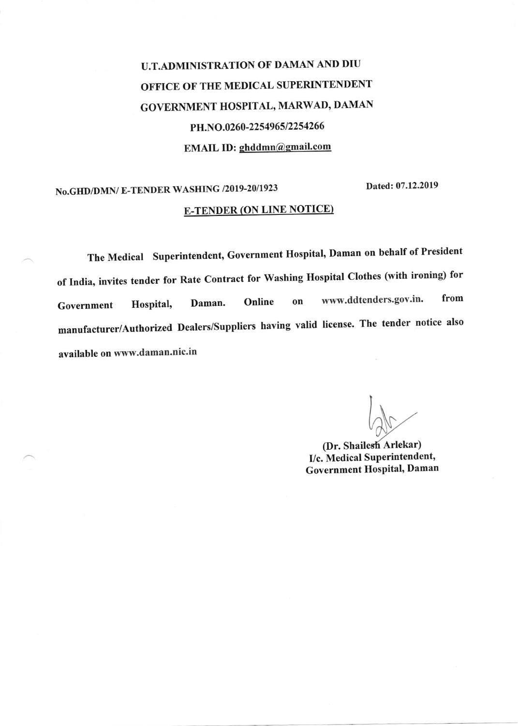# U.T.ADMINISTRATION OF DAMAN AND DIU OFFICE OF THE MEDICAL SUPERINTENDENT GOVERNMENT HOSPITAL, MARWAD, DAMAN PH.NO.0260-2254965/2254266 EMAIL ID: ghddmn@gmail.com

## No.GHD/DMN/ E-TENDER WASHING /2019-20/1923 Dated: 07.12.2019 **E-TENDER (ON LINE NOTICE)**

The Medical Superintendent, Government Hospital, Daman on behalf of President of India, invites tender for Rate Contract for Washing Hospital Clothes (with ironing) for Government Hospital, Daman. Online on www.ddtenders.gov.in. from manufacturer/Authorized Dealers/Suppliers having valid license. The tender notice also available on www.daman.nic.in

(Dr. Shailesh Arlekar) I/c. Medical Superintendent, Government Hospital, Daman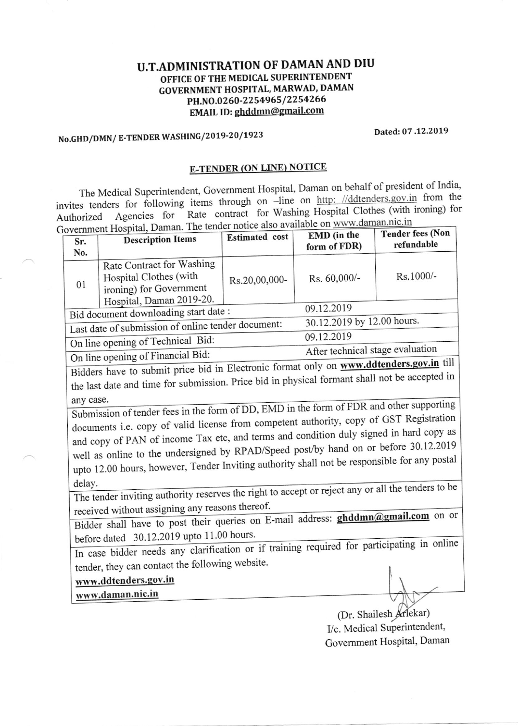#### U.T.ADMINISTRATION OF DAMAN AND DIU OFFICE OF THE MEDICAL SUPERINTENDENT GOVERNMENT HOSPITAL, MARWAD, DAMAN PH.NO.0260-2254965/2254266 EMAIL ID: ghddmn@gmail.com

## No.GHD/DMN/ E-TENDER WASHING/2019-20/1923 Dated: 07 .12.2019

### E-TENDER (ON LINE) NOTICE

The Medical Superintendent, Government Hospital, Daman on behalf of president of India, invites tenders for following items through on -line on http: //ddtenders.gov.in from the<br>Authorized Agencies for Rate contract for Washing Hospital Clothes (with ironing) for Rate contract for Washing Hospital Clothes (with ironing) for Government Hospital, Daman. The tender notice also available on www.daman.nic.in

|                                                                                                                                                                                                                                                                                                                     | overnment Hospital, Daman. The tender holies also all | EMD (in the                | <b>Tender fees (Non</b>          |            |
|---------------------------------------------------------------------------------------------------------------------------------------------------------------------------------------------------------------------------------------------------------------------------------------------------------------------|-------------------------------------------------------|----------------------------|----------------------------------|------------|
| Sr.                                                                                                                                                                                                                                                                                                                 | <b>Description Items</b>                              | Estimated cost             | form of FDR)                     | refundable |
| No.                                                                                                                                                                                                                                                                                                                 |                                                       |                            |                                  |            |
| 01                                                                                                                                                                                                                                                                                                                  | Rate Contract for Washing                             |                            | Rs. 60,000/-                     | Rs.1000/-  |
|                                                                                                                                                                                                                                                                                                                     | Hospital Clothes (with                                | Rs.20,00,000-              |                                  |            |
|                                                                                                                                                                                                                                                                                                                     | ironing) for Government                               |                            |                                  |            |
|                                                                                                                                                                                                                                                                                                                     | Hospital, Daman 2019-20.                              |                            |                                  |            |
| Bid document downloading start date:                                                                                                                                                                                                                                                                                |                                                       |                            | 09.12.2019                       |            |
|                                                                                                                                                                                                                                                                                                                     |                                                       | 30.12.2019 by 12.00 hours. |                                  |            |
| Last date of submission of online tender document:                                                                                                                                                                                                                                                                  |                                                       |                            | 09.12.2019                       |            |
| On line opening of Technical Bid:                                                                                                                                                                                                                                                                                   |                                                       |                            |                                  |            |
| On line opening of Financial Bid:                                                                                                                                                                                                                                                                                   |                                                       |                            | After technical stage evaluation |            |
| $\frac{1}{1}$ $\frac{1}{1}$ $\frac{1}{2}$ $\frac{1}{2}$ $\frac{1}{2}$ $\frac{1}{2}$ $\frac{1}{2}$ $\frac{1}{2}$ $\frac{1}{2}$ $\frac{1}{2}$ $\frac{1}{2}$ $\frac{1}{2}$ $\frac{1}{2}$ $\frac{1}{2}$ $\frac{1}{2}$ $\frac{1}{2}$ $\frac{1}{2}$ $\frac{1}{2}$ $\frac{1}{2}$ $\frac{1}{2}$ $\frac{1}{2}$ $\frac{1}{2}$ |                                                       |                            |                                  |            |

Bidders have to submit price bid in Electronic format only on **www.ddtenders.gov.in** til Bluders have to submit procedure procedure in physical formant shall not be accepted in the last date and time for submission. Price bid in physical formant shall not be accepted in

any case.<br>Submission of tender fees in the form of DD, EMD in the form of FDR and other supporting<br>the sense of GST Begistration Submission of tender rees in the form of *DD*, EMD in the com-<br>documents i.e. copy of valid license from competent authority, copy of GST Registration well as online to the undersigned by RPAD/Speed post/by hand on or before 30.12.2019 and copy of PAN of income Tax etc, and terms and condition duly signed in hard copy as<br>and copy of PAN of income Tax etc, and terms and condition duly signed in hard copy as went as offine to the answer of the matter of the state of the state of the responsible for any postal upto 12.00 hours, however, Tender Inviting authority shall not be responsible for any postal

delay.<br>The tender inviting authority reserves the right to accept or reject any or all the tenders to be received without assigning any reasons thereof.

received whilout assigning any the end of the central address: **ghddmn**(a) gmail.com on or before dated  $30.12.2019$  upto  $11.00$  hours.

tender, they can contact the following website. once dated 50.12.2019 apec 1100 Level and the unit of training required for participating in online

### www.ddtenders.gov.in

www.daman.nic.in

(Dr. Shailesh Arlekar) I/c. Medical Superintendent, Government Hospital, Daman